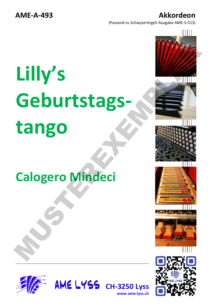(Passend zu Schwyzerörgeli-Ausgabe AME-S-513)

## **Lilly's Geburtstagstango** Lilly's<br>Geburtstags-<br>tango<br>Calogero Mindeci

## **Calogero Mindeci**